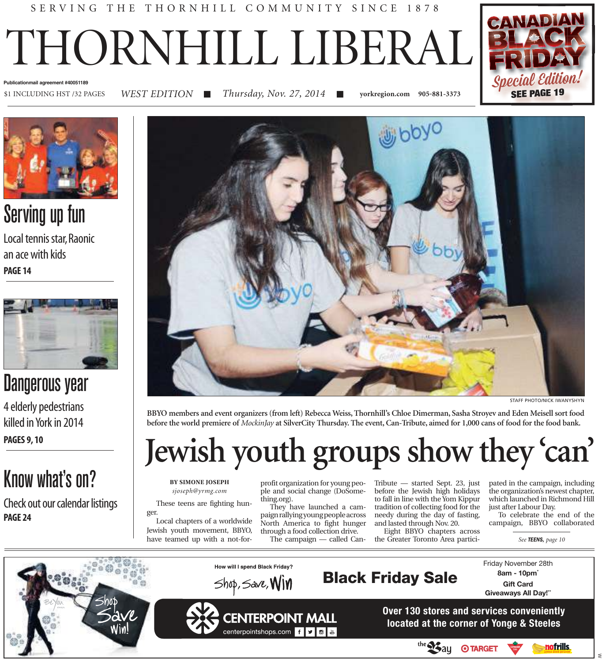### SERVING THE THORNHILL COMMUNITY SINCE 1878

# THORNHILL LIBERAL



*WEST EDITION*

\$1 INCLUDING HST /32 PAGES ■ *Thursday, Nov. 27, 2014* ■ **yorkregion.com 905-881-3373** 





Serving up fun

Local tennis star, Raonic an ace with kids **PAGE 14**



### Dangerous year

4 elderly pedestrians killed in York in 2014 **PAGES 9, 10**

## Know what's on?

Check out our calendar listings **PAGE 24**



**BBYO members and event organizers (from left) Rebecca Weiss, Thornhill's Chloe Dimerman, Sasha Stroyev and Eden Meisell sort food before the world premiere of** *MockinJay* **at SilverCity Thursday. The event, Can-Tribute, aimed for 1,000 cans of food for the food bank.**

## **Jewish youth groups show they 'can'**

**BY SIMONE JOSEPH** *sjoseph@yrmg.com*

These teens are fighting hunger.

Local chapters of a worldwide Jewish youth movement, BBYO, have teamed up with a not-forprofit organization for young people and social change (DoSomething.org).

They have launched a campaign rallying young people across North America to fight hunger through a food collection drive. The campaign — called CanTribute — started Sept. 23, just before the Jewish high holidays to fall in line with the Yom Kippur tradition of collecting food for the needy during the day of fasting, and lasted through Nov. 20.

Eight BBYO chapters across the Greater Toronto Area participated in the campaign, including the organization's newest chapter, which launched in Richmond Hill just after Labour Day.

To celebrate the end of the campaign, BBYO collaborated

*See TEENS, page 10*